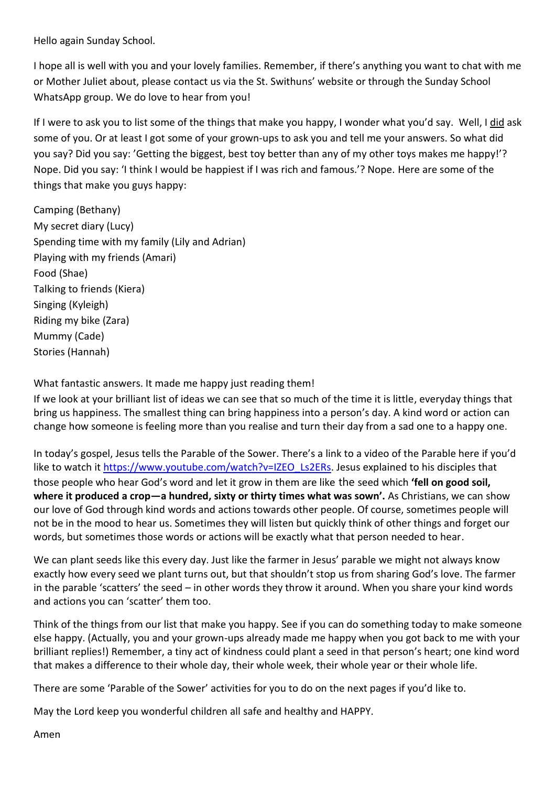Hello again Sunday School.

I hope all is well with you and your lovely families. Remember, if there's anything you want to chat with me or Mother Juliet about, please contact us via the St. Swithuns' website or through the Sunday School WhatsApp group. We do love to hear from you!

If I were to ask you to list some of the things that make you happy, I wonder what you'd say. Well, I did ask some of you. Or at least I got some of your grown-ups to ask you and tell me your answers. So what did you say? Did you say: 'Getting the biggest, best toy better than any of my other toys makes me happy!'? Nope. Did you say: 'I think I would be happiest if I was rich and famous.'? Nope. Here are some of the things that make you guys happy:

Camping (Bethany) My secret diary (Lucy) Spending time with my family (Lily and Adrian) Playing with my friends (Amari) Food (Shae) Talking to friends (Kiera) Singing (Kyleigh) Riding my bike (Zara) Mummy (Cade) Stories (Hannah)

What fantastic answers. It made me happy just reading them!

If we look at your brilliant list of ideas we can see that so much of the time it is little, everyday things that bring us happiness. The smallest thing can bring happiness into a person's day. A kind word or action can change how someone is feeling more than you realise and turn their day from a sad one to a happy one.

In today's gospel, Jesus tells the Parable of the Sower. There's a link to a video of the Parable here if you'd like to watch it [https://www.youtube.com/watch?v=IZEO\\_Ls2ERs.](https://www.youtube.com/watch?v=IZEO_Ls2ERs) Jesus explained to his disciples that those people who hear God's word and let it grow in them are like the seed which **'fell on good soil, where it produced a crop—a hundred, sixty or thirty times what was sown'.** As Christians, we can show our love of God through kind words and actions towards other people. Of course, sometimes people will not be in the mood to hear us. Sometimes they will listen but quickly think of other things and forget our words, but sometimes those words or actions will be exactly what that person needed to hear.

We can plant seeds like this every day. Just like the farmer in Jesus' parable we might not always know exactly how every seed we plant turns out, but that shouldn't stop us from sharing God's love. The farmer in the parable 'scatters' the seed – in other words they throw it around. When you share your kind words and actions you can 'scatter' them too.

Think of the things from our list that make you happy. See if you can do something today to make someone else happy. (Actually, you and your grown-ups already made me happy when you got back to me with your brilliant replies!) Remember, a tiny act of kindness could plant a seed in that person's heart; one kind word that makes a difference to their whole day, their whole week, their whole year or their whole life.

There are some 'Parable of the Sower' activities for you to do on the next pages if you'd like to.

May the Lord keep you wonderful children all safe and healthy and HAPPY.

Amen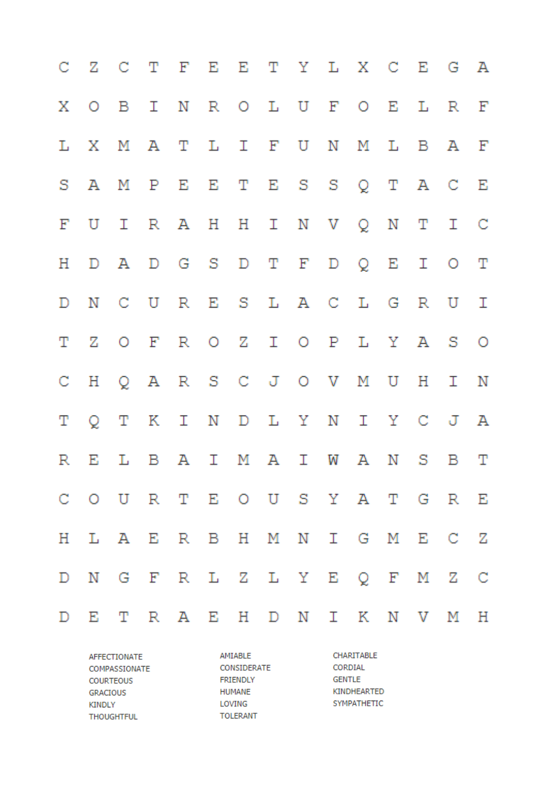|   | CZCTFEETYLXCEGA               |  |  |  |  |  |  |
|---|-------------------------------|--|--|--|--|--|--|
|   | X O B I N R O L U F O E L R F |  |  |  |  |  |  |
|   | L X M A T L I F U N M L B A F |  |  |  |  |  |  |
|   | SAMPEETESSQTACE               |  |  |  |  |  |  |
|   | FUIRAHHINVQNTIC               |  |  |  |  |  |  |
|   | H D A D G S D T F D Q E I O T |  |  |  |  |  |  |
|   | D N C U R E S L A C L G R U I |  |  |  |  |  |  |
|   | T Z O F R O Z I O P L Y A S O |  |  |  |  |  |  |
|   | CHQARS CJOVMUHIN              |  |  |  |  |  |  |
| Т | Q T K I N D L Y N I Y C J A   |  |  |  |  |  |  |
|   | R E L B A I M A I W A N S B T |  |  |  |  |  |  |
|   | COURTEOUSYATGRE               |  |  |  |  |  |  |
|   | H L A E R B H M N I G M E C Z |  |  |  |  |  |  |
|   | D N G F R L Z L Y E Q F M Z C |  |  |  |  |  |  |
|   | D E T R A E H D N I K N V M H |  |  |  |  |  |  |

AFFECTIONATE COMPASSIONATE **COURTEOUS** GRACIOUS **KINDLY THOUGHTFUL** 

AMIABLE CONSIDERATE **FRIENDLY HUMANE** LOVING **TOLERANT** 

CHARITABLE CORDIAL **GENTLE** KINDHEARTED SYMPATHETIC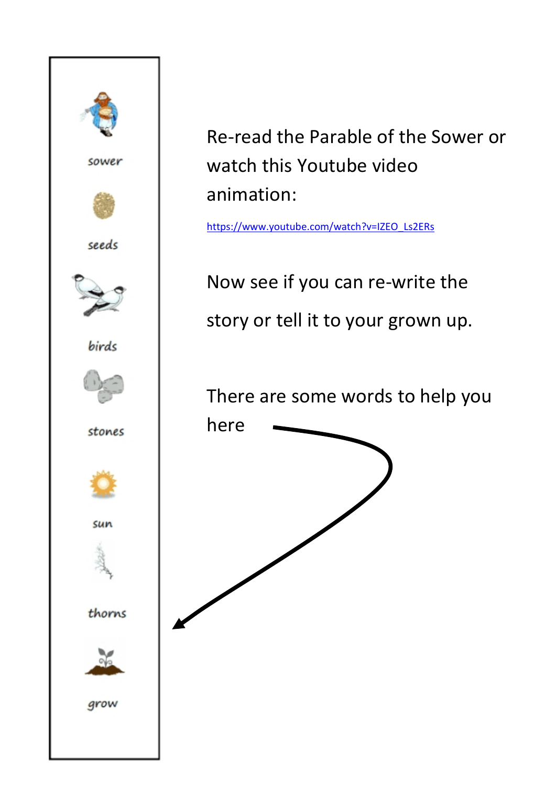

## Re-read the Parable of the Sower or watch this Youtube video animation:

[https://www.youtube.com/watch?v=IZEO\\_Ls2ERs](https://www.youtube.com/watch?v=IZEO_Ls2ERs)

Now see if you can re-write the story or tell it to your grown up.

There are some words to help you